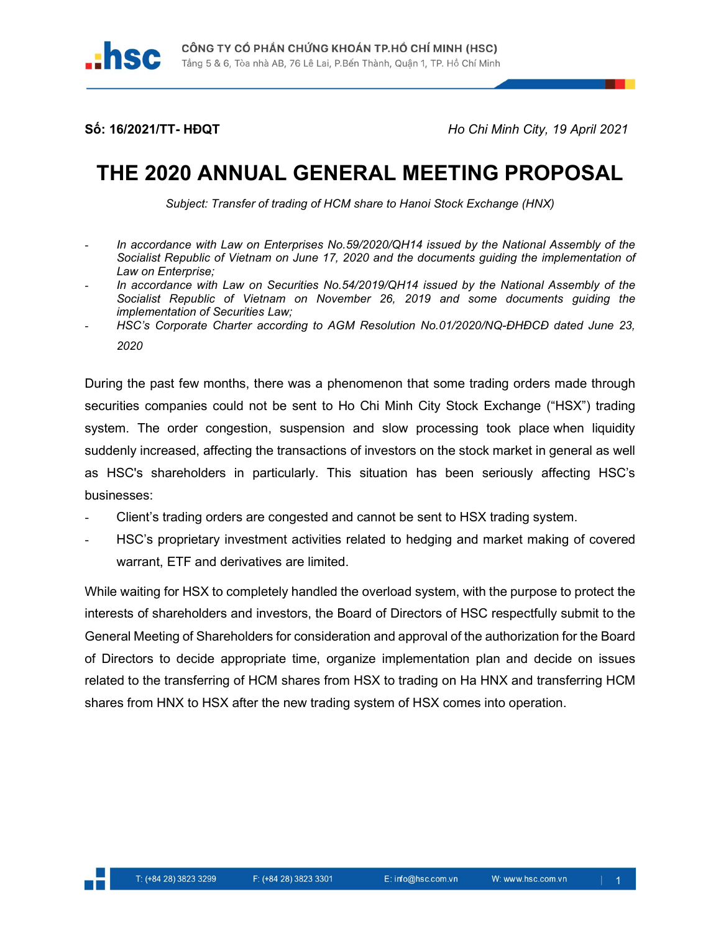hsc

Số: 16/2021/TT- HĐQT HO Chi Minh City, 19 April 2021

## THE 2020 ANNUAL GENERAL MEETING PROPOSAL

Subject: Transfer of trading of HCM share to Hanoi Stock Exchange (HNX)

- In accordance with Law on Enterprises No.59/2020/QH14 issued by the National Assembly of the Socialist Republic of Vietnam on June 17, 2020 and the documents guiding the implementation of Law on Enterprise;
- In accordance with Law on Securities No.54/2019/QH14 issued by the National Assembly of the Socialist Republic of Vietnam on November 26, 2019 and some documents guiding the implementation of Securities Law;
- HSC's Corporate Charter according to AGM Resolution No.01/2020/NQ-DHĐCĐ dated June 23, 2020

During the past few months, there was a phenomenon that some trading orders made through securities companies could not be sent to Ho Chi Minh City Stock Exchange ("HSX") trading system. The order congestion, suspension and slow processing took place when liquidity suddenly increased, affecting the transactions of investors on the stock market in general as well as HSC's shareholders in particularly. This situation has been seriously affecting HSC's businesses:

- Client's trading orders are congested and cannot be sent to HSX trading system.
- HSC's proprietary investment activities related to hedging and market making of covered warrant, ETF and derivatives are limited.

While waiting for HSX to completely handled the overload system, with the purpose to protect the interests of shareholders and investors, the Board of Directors of HSC respectfully submit to the General Meeting of Shareholders for consideration and approval of the authorization for the Board of Directors to decide appropriate time, organize implementation plan and decide on issues related to the transferring of HCM shares from HSX to trading on Ha HNX and transferring HCM shares from HNX to HSX after the new trading system of HSX comes into operation.